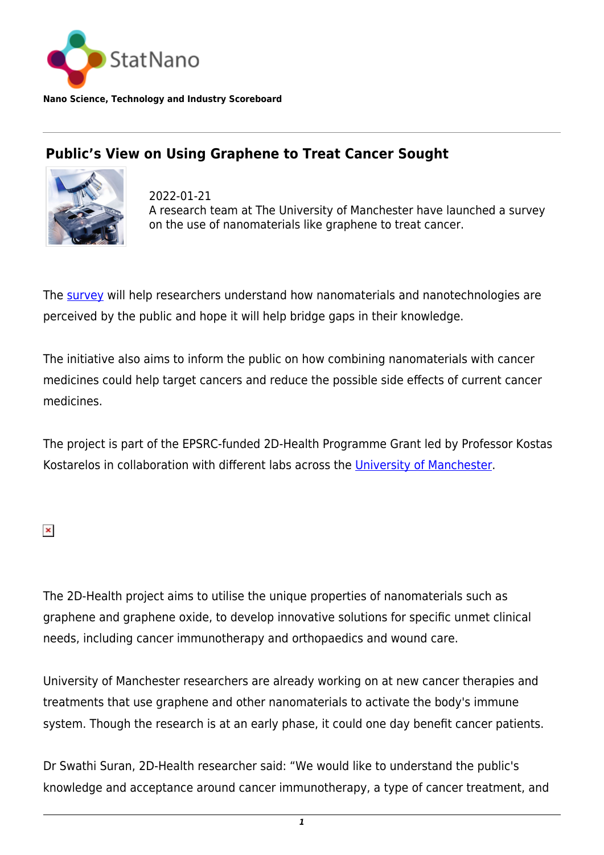

**Nano Science, Technology and Industry Scoreboard**

## **Public's View on Using Graphene to Treat Cancer Sought**



2022-01-21 A research team at The University of Manchester have launched a survey on the use of nanomaterials like graphene to treat cancer.

The [survey](https://www.qualtrics.manchester.ac.uk/jfe/form/SV_6JOmuCkMVrb1FAy) will help researchers understand how nanomaterials and nanotechnologies are perceived by the public and hope it will help bridge gaps in their knowledge.

The initiative also aims to inform the public on how combining nanomaterials with cancer medicines could help target cancers and reduce the possible side effects of current cancer medicines.

The project is part of the EPSRC-funded 2D-Health Programme Grant led by Professor Kostas Kostarelos in collaboration with different labs across the [University of Manchester](https://statnano.com/org/University-of-Manchester).

 $\pmb{\times}$ 

The 2D-Health project aims to utilise the unique properties of nanomaterials such as graphene and graphene oxide, to develop innovative solutions for specific unmet clinical needs, including cancer immunotherapy and orthopaedics and wound care.

University of Manchester researchers are already working on at new cancer therapies and treatments that use graphene and other nanomaterials to activate the body's immune system. Though the research is at an early phase, it could one day benefit cancer patients.

Dr Swathi Suran, 2D-Health researcher said: "We would like to understand the public's knowledge and acceptance around cancer immunotherapy, a type of cancer treatment, and